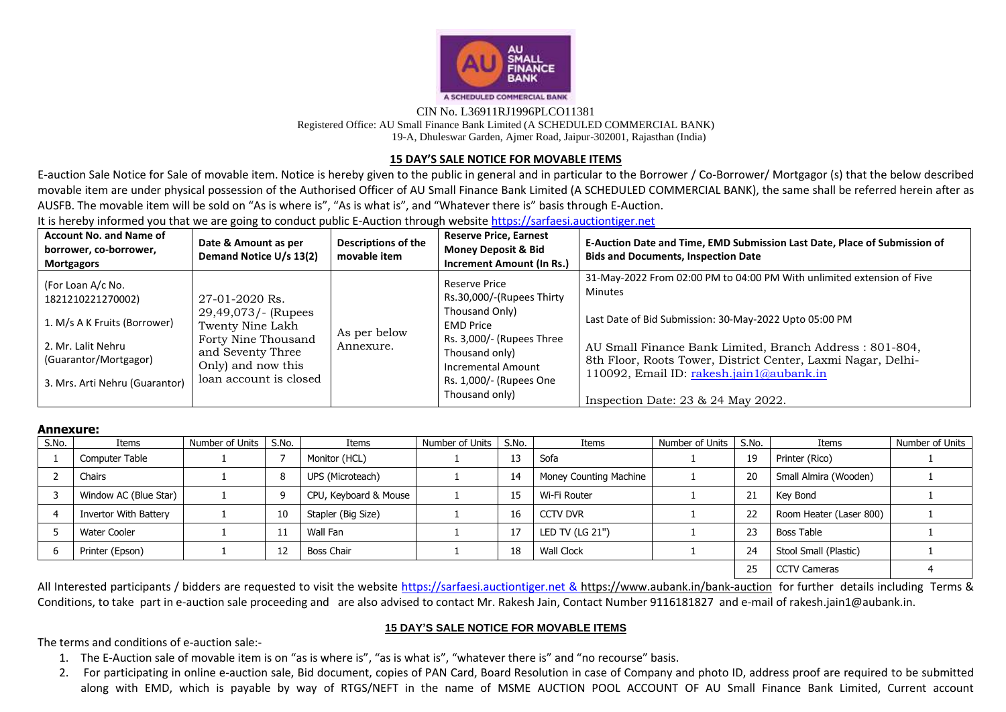

## CIN No. L36911RJ1996PLCO11381 Registered Office: AU Small Finance Bank Limited (A SCHEDULED COMMERCIAL BANK) 19-A, Dhuleswar Garden, Ajmer Road, Jaipur-302001, Rajasthan (India)

## **15 DAY'S SALE NOTICE FOR MOVABLE ITEMS**

E-auction Sale Notice for Sale of movable item. Notice is hereby given to the public in general and in particular to the Borrower / Co-Borrower/ Mortgagor (s) that the below described movable item are under physical possession of the Authorised Officer of AU Small Finance Bank Limited (A SCHEDULED COMMERCIAL BANK), the same shall be referred herein after as AUSFB. The movable item will be sold on "As is where is", "As is what is", and "Whatever there is" basis through E-Auction.

It is hereby informed you that we are going to conduct public E-Auction through website [https://sarfaesi.auctiontiger.net](https://sarfaesi.auctiontiger.net/) 

| <b>Account No. and Name of</b><br>borrower, co-borrower,<br><b>Mortgagors</b>                                                                           | Date & Amount as per<br>Demand Notice U/s 13(2)                                                                                                       | Descriptions of the<br>movable item | <b>Reserve Price, Earnest</b><br><b>Money Deposit &amp; Bid</b><br>Increment Amount (In Rs.)                                                                                                       | E-Auction Date and Time, EMD Submission Last Date, Place of Submission of<br><b>Bids and Documents, Inspection Date</b>                                                                                                                                                                                                                                           |
|---------------------------------------------------------------------------------------------------------------------------------------------------------|-------------------------------------------------------------------------------------------------------------------------------------------------------|-------------------------------------|----------------------------------------------------------------------------------------------------------------------------------------------------------------------------------------------------|-------------------------------------------------------------------------------------------------------------------------------------------------------------------------------------------------------------------------------------------------------------------------------------------------------------------------------------------------------------------|
| (For Loan A/c No.<br>1821210221270002)<br>1. M/s A K Fruits (Borrower)<br>2. Mr. Lalit Nehru<br>(Guarantor/Mortgagor)<br>3. Mrs. Arti Nehru (Guarantor) | 27-01-2020 Rs.<br>29,49,073/- (Rupees<br>Twenty Nine Lakh<br>Forty Nine Thousand<br>and Seventy Three<br>Only) and now this<br>loan account is closed | As per below<br>Annexure.           | Reserve Price<br>Rs.30,000/-(Rupees Thirty<br>Thousand Only)<br><b>EMD Price</b><br>Rs. 3,000/- (Rupees Three<br>Thousand only)<br>Incremental Amount<br>Rs. 1,000/- (Rupees One<br>Thousand only) | 31-May-2022 From 02:00 PM to 04:00 PM With unlimited extension of Five<br><b>Minutes</b><br>Last Date of Bid Submission: 30-May-2022 Upto 05:00 PM<br>AU Small Finance Bank Limited, Branch Address: 801-804,<br>8th Floor, Roots Tower, District Center, Laxmi Nagar, Delhi-<br>110092, Email ID: rakesh.jain1@aubank.in<br>Inspection Date: $23 & 24$ May 2022. |

## **Annexure:**

| S.No. | Items                        | Number of Units | S.No. | Items                 | Number of Units | S.No. | Items                  | Number of Units | S.No. | Items                   | Number of Units |
|-------|------------------------------|-----------------|-------|-----------------------|-----------------|-------|------------------------|-----------------|-------|-------------------------|-----------------|
|       | Computer Table               |                 |       | Monitor (HCL)         |                 | 13    | Sofa                   |                 | 19    | Printer (Rico)          |                 |
|       | Chairs                       |                 |       | UPS (Microteach)      |                 | 14    | Money Counting Machine |                 | 20    | Small Almira (Wooden)   |                 |
|       | Window AC (Blue Star)        |                 |       | CPU, Keyboard & Mouse |                 | 15    | Wi-Fi Router           |                 | 21    | Kev Bond                |                 |
|       | <b>Invertor With Battery</b> |                 | 10    | Stapler (Big Size)    |                 | 16    | <b>CCTV DVR</b>        |                 | 22    | Room Heater (Laser 800) |                 |
|       | Water Cooler                 |                 |       | Wall Fan              |                 | 17    | LED TV (LG 21")        |                 | 23    | Boss Table              |                 |
|       | Printer (Epson)              |                 |       | Boss Chair            |                 | 18    | <b>Wall Clock</b>      |                 | 24    | Stool Small (Plastic)   |                 |
|       |                              |                 |       |                       |                 |       |                        |                 |       | <b>CCTV Cameras</b>     |                 |

All Interested participants / bidders are requested to visit the website [https://sarfaesi.auctiontiger.net](https://sarfaesi.auctiontiger.net/) & https://www.aubank.in/bank-auction for further details including Terms & Conditions, to take part in e-auction sale proceeding and are also advised to contact Mr. Rakesh Jain, Contact Number 9116181827 and e-mail of rakesh.jain1@aubank.in.

## **15 DAY'S SALE NOTICE FOR MOVABLE ITEMS**

The terms and conditions of e-auction sale:-

- 1. The E-Auction sale of movable item is on "as is where is", "as is what is", "whatever there is" and "no recourse" basis.
- 2. For participating in online e-auction sale, Bid document, copies of PAN Card, Board Resolution in case of Company and photo ID, address proof are required to be submitted along with EMD, which is payable by way of RTGS/NEFT in the name of MSME AUCTION POOL ACCOUNT OF AU Small Finance Bank Limited, Current account